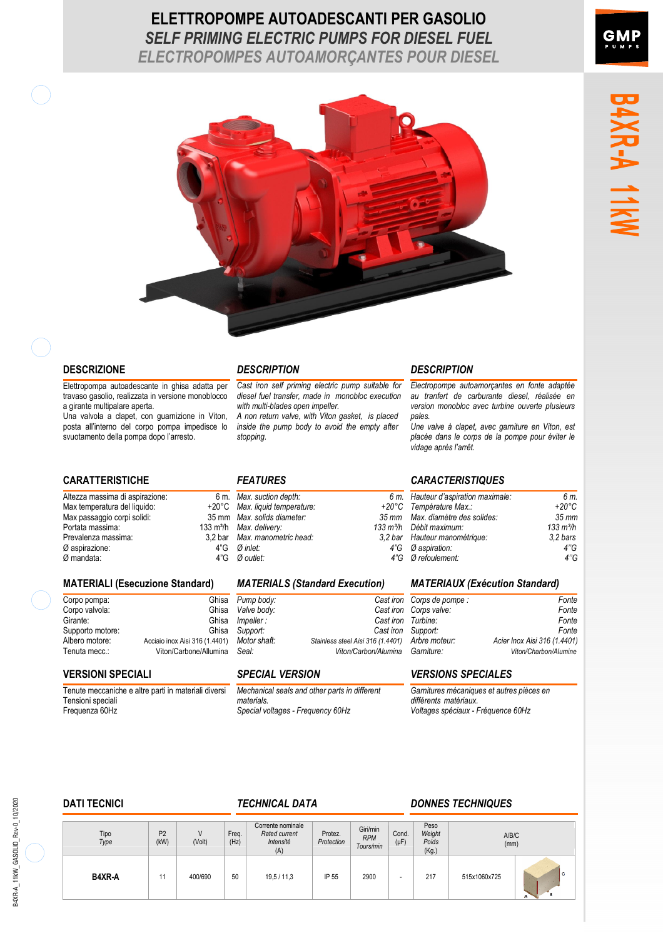## **ELETTROPOMPE AUTOADESCANTI PER GASOLIO** *SELF PRIMING ELECTRIC PUMPS FOR DIESEL FUEL ELECTROPOMPES AUTOAMORÇANTES POUR DIESEL*



### **DESCRIZIONE** *DESCRIPTION DESCRIPTION*

Elettropompa autoadescante in ghisa adatta per travaso gasolio, realizzata in versione monoblocco a girante multipalare aperta.

Una valvola a clapet, con guarnizione in Viton, posta allinterno del corpo pompa impedisce lo svuotamento della pompa dopo l'arresto.

*Cast iron self priming electric pump suitable for diesel fuel transfer, made in monobloc execution with multi-blades open impeller.* 

*A non return valve, with Viton gasket, is placed inside the pump body to avoid the empty after stopping.* 

Altezza massima di aspirazione: Max temperatura del liquido: Max passaggio corpi solidi: Portata massima: 133 m<sup>3</sup>/h<br>Prevalenza massima: 13.2 bar Prevalenza massima: 3,2 bar<br>  $\varnothing$  aspirazione: 4<sup>r</sup>G  $\emptyset$  aspirazione:  $\emptyset$  mandata:  $\emptyset$   $\emptyset$   $\emptyset$   $\emptyset$  $Ø$  mandata:

### **MATERIALI (Esecuzione Standard)** *MATERIALS (Standard Execution) MATERIAUX (Exécution Standard)*

| Corpo pompa:     | Ghisa                          |
|------------------|--------------------------------|
| Corpo valvola:   | Ghisa                          |
| Girante:         | Ghisa                          |
| Supporto motore: | Ghisa                          |
| Albero motore:   | Acciaio inox Aisi 316 (1.4401) |
| Tenuta mecc.:    | Viton/Carbone/Allumina         |
|                  |                                |

Tenute meccaniche e altre parti in materiali diversi Tensioni speciali Frequenza 60Hz

*Max. suction depth: 6 m. Max. liquid temperature: +20°C Max. solids diameter: 35 mm Max. delivery:* 133 m<sup>3</sup>/<br> *Max. manometric head:* 3,2 ba *Max. manometric head:* 3,2 bar<br>*Ø inlet:* 4"G *Ø* inlet: 4" (*A inlet*: 4" (*A in*let: 4" (*A in Ø outlet: 4G*

*Pump body: Cast iron*  $Value$  body: *Impeller : Cast iron Support: Cast iron Motor shaft: Stainless steel Aisi 316 (1.4401) Seal: Viton/Carbon/Alumina*

*Mechanical seals and other parts in different materials. Special voltages - Frequency 60Hz* 

*Electropompe autoamorçantes en fonte adaptée au tranfert de carburante diesel, réalisée en version monobloc avec turbine ouverte plusieurs pales.* 

*Une valve à clapet, avec garniture en Viton, est placée dans le corps de la pompe pour éviter le vidage après larrêt.* 

### **CARATTERISTICHE** *FEATURES CARACTERISTIQUES*

| 1. Hauteur d'aspiration maximale: | 6 m.                |
|-----------------------------------|---------------------|
| C Température Max.:               | $+20^{\circ}$ C     |
| n Max. diamètre des solides:      | $35 \, \text{mm}$   |
| h Débit maximum:                  | $133 \text{ m}^3/h$ |
| r Hauteur manométrique:           | 3.2 bars            |
| G aspiration:                     | 4"G                 |
| G Ørefoulement:                   | 4"G                 |
|                                   |                     |

| Fonte                        |
|------------------------------|
| Fonte                        |
| Fonte                        |
| Fonte                        |
| Acier Inox Aisi 316 (1.4401) |
| Viton/Charbon/Alumine        |
|                              |

### **VERSIONI SPECIALI** *SPECIAL VERSION VERSIONS SPECIALES*

*Garnitures mécaniques et autres pièces en différents matériaux. Voltages spéciaux - Fréquence 60Hz*

### **DATI TECNICI** *TECHNICAL DATA DONNES TECHNIQUES*

| Tipo<br>Type | P <sub>2</sub><br>(kW) | V<br>(Volt) | Freq.<br>(Hz) | Corrente nominale<br>Rated current<br>Intensité<br>(A) | Protez.<br>Protection | Giri/min<br><b>RPM</b><br>Tours/min | Cond.<br>$(\mu F)$ | Peso<br>Weight<br>Poids<br>(Kg.) | A/B/C<br>(mm) |   |
|--------------|------------------------|-------------|---------------|--------------------------------------------------------|-----------------------|-------------------------------------|--------------------|----------------------------------|---------------|---|
| B4XR-A       | 11                     | 400/690     | 50            | 19,5 / 11,3                                            | IP 55                 | 2900                                | -                  | 217                              | 515x1060x725  | c |